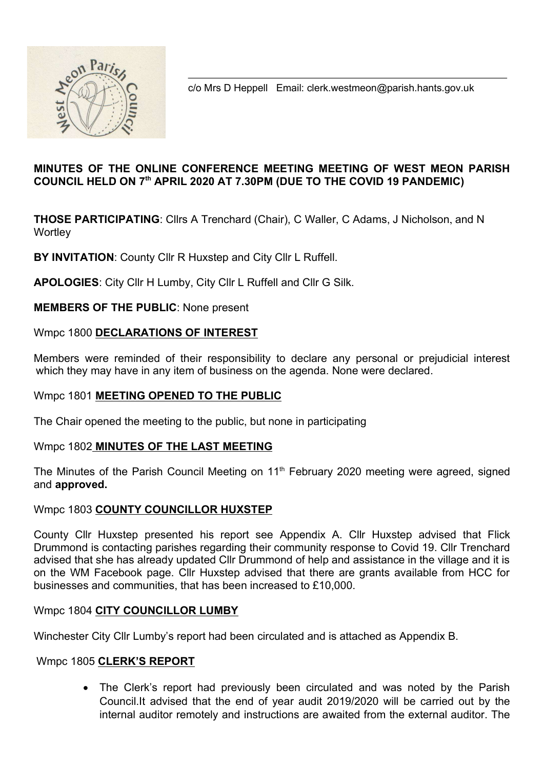

c/o Mrs D Heppell Email: clerk.westmeon@parish.hants.gov.uk

# MINUTES OF THE ONLINE CONFERENCE MEETING MEETING OF WEST MEON PARISH COUNCIL HELD ON 7th APRIL 2020 AT 7.30PM (DUE TO THE COVID 19 PANDEMIC)

THOSE PARTICIPATING: Cllrs A Trenchard (Chair), C Waller, C Adams, J Nicholson, and N **Wortley** 

BY INVITATION: County Cllr R Huxstep and City Cllr L Ruffell.

APOLOGIES: City Cllr H Lumby, City Cllr L Ruffell and Cllr G Silk.

MEMBERS OF THE PUBLIC: None present

### Wmpc 1800 DECLARATIONS OF INTEREST

Members were reminded of their responsibility to declare any personal or prejudicial interest which they may have in any item of business on the agenda. None were declared.

### Wmpc 1801 MEETING OPENED TO THE PUBLIC

The Chair opened the meeting to the public, but none in participating

### Wmpc 1802 MINUTES OF THE LAST MEETING

The Minutes of the Parish Council Meeting on 11<sup>th</sup> February 2020 meeting were agreed, signed and approved.

### Wmpc 1803 COUNTY COUNCILLOR HUXSTEP

County Cllr Huxstep presented his report see Appendix A. Cllr Huxstep advised that Flick Drummond is contacting parishes regarding their community response to Covid 19. Cllr Trenchard advised that she has already updated Cllr Drummond of help and assistance in the village and it is on the WM Facebook page. Cllr Huxstep advised that there are grants available from HCC for businesses and communities, that has been increased to £10,000.

### Wmpc 1804 CITY COUNCILLOR LUMBY

Winchester City Cllr Lumby's report had been circulated and is attached as Appendix B.

### Wmpc 1805 CLERK'S REPORT

 The Clerk's report had previously been circulated and was noted by the Parish Council.It advised that the end of year audit 2019/2020 will be carried out by the internal auditor remotely and instructions are awaited from the external auditor. The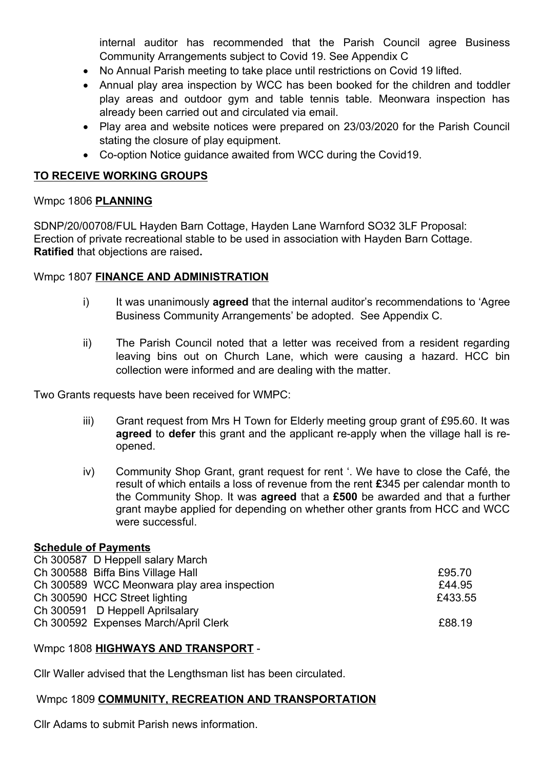internal auditor has recommended that the Parish Council agree Business Community Arrangements subject to Covid 19. See Appendix C

- No Annual Parish meeting to take place until restrictions on Covid 19 lifted.
- Annual play area inspection by WCC has been booked for the children and toddler play areas and outdoor gym and table tennis table. Meonwara inspection has already been carried out and circulated via email.
- Play area and website notices were prepared on 23/03/2020 for the Parish Council stating the closure of play equipment.
- Co-option Notice guidance awaited from WCC during the Covid19.

# TO RECEIVE WORKING GROUPS

# Wmpc 1806 PLANNING

SDNP/20/00708/FUL Hayden Barn Cottage, Hayden Lane Warnford SO32 3LF Proposal: Erection of private recreational stable to be used in association with Hayden Barn Cottage. Ratified that objections are raised.

# Wmpc 1807 FINANCE AND ADMINISTRATION

- i) It was unanimously **agreed** that the internal auditor's recommendations to 'Agree Business Community Arrangements' be adopted. See Appendix C.
- ii) The Parish Council noted that a letter was received from a resident regarding leaving bins out on Church Lane, which were causing a hazard. HCC bin collection were informed and are dealing with the matter.

Two Grants requests have been received for WMPC:

- iii) Grant request from Mrs H Town for Elderly meeting group grant of £95.60. It was agreed to defer this grant and the applicant re-apply when the village hall is reopened.
- iv) Community Shop Grant, grant request for rent '. We have to close the Café, the result of which entails a loss of revenue from the rent  $£345$  per calendar month to the Community Shop. It was **agreed** that a £500 be awarded and that a further grant maybe applied for depending on whether other grants from HCC and WCC were successful.

# Schedule of Payments

| Ch 300587 D Heppell salary March            |         |
|---------------------------------------------|---------|
| Ch 300588 Biffa Bins Village Hall           | £95.70  |
| Ch 300589 WCC Meonwara play area inspection | £44.95  |
| Ch 300590 HCC Street lighting               | £433.55 |
| Ch 300591 D Heppell Aprilsalary             |         |
| Ch 300592 Expenses March/April Clerk        | £88.19  |
|                                             |         |

# Wmpc 1808 HIGHWAYS AND TRANSPORT -

Cllr Waller advised that the Lengthsman list has been circulated.

# Wmpc 1809 COMMUNITY, RECREATION AND TRANSPORTATION

Cllr Adams to submit Parish news information.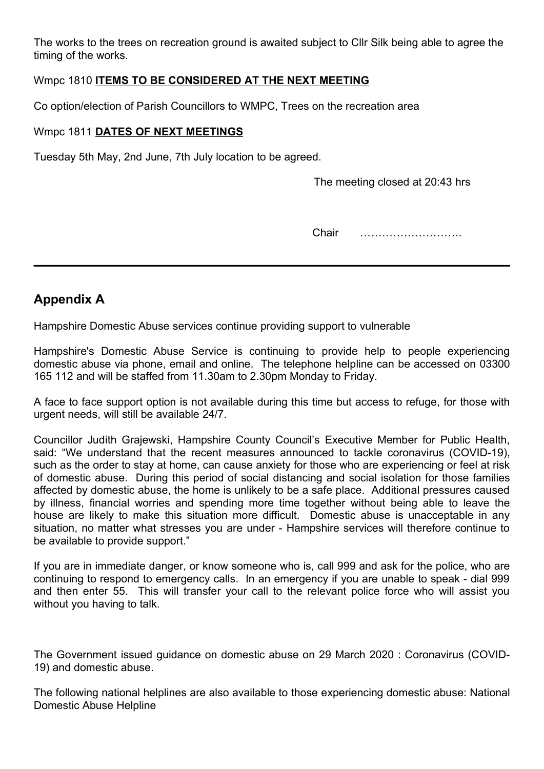The works to the trees on recreation ground is awaited subject to Cllr Silk being able to agree the timing of the works.

### Wmpc 1810 ITEMS TO BE CONSIDERED AT THE NEXT MEETING

Co option/election of Parish Councillors to WMPC, Trees on the recreation area

### Wmpc 1811 DATES OF NEXT MEETINGS

Tuesday 5th May, 2nd June, 7th July location to be agreed.

The meeting closed at 20:43 hrs

Chair ……………………….

# Appendix A

Hampshire Domestic Abuse services continue providing support to vulnerable

Hampshire's Domestic Abuse Service is continuing to provide help to people experiencing domestic abuse via phone, email and online. The telephone helpline can be accessed on 03300 165 112 and will be staffed from 11.30am to 2.30pm Monday to Friday.

A face to face support option is not available during this time but access to refuge, for those with urgent needs, will still be available 24/7.

Councillor Judith Grajewski, Hampshire County Council's Executive Member for Public Health, said: "We understand that the recent measures announced to tackle coronavirus (COVID-19), such as the order to stay at home, can cause anxiety for those who are experiencing or feel at risk of domestic abuse. During this period of social distancing and social isolation for those families affected by domestic abuse, the home is unlikely to be a safe place. Additional pressures caused by illness, financial worries and spending more time together without being able to leave the house are likely to make this situation more difficult. Domestic abuse is unacceptable in any situation, no matter what stresses you are under - Hampshire services will therefore continue to be available to provide support."

If you are in immediate danger, or know someone who is, call 999 and ask for the police, who are continuing to respond to emergency calls. In an emergency if you are unable to speak - dial 999 and then enter 55. This will transfer your call to the relevant police force who will assist you without you having to talk.

The Government issued guidance on domestic abuse on 29 March 2020 : Coronavirus (COVID-19) and domestic abuse.

The following national helplines are also available to those experiencing domestic abuse: National Domestic Abuse Helpline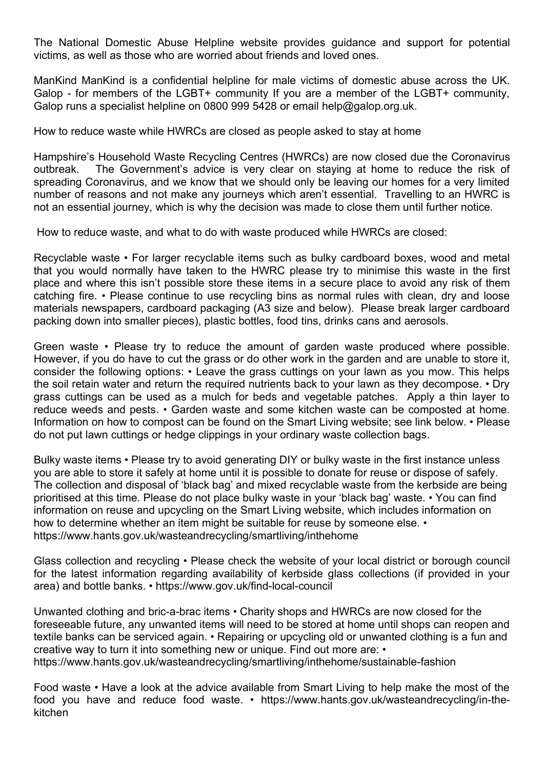The National Domestic Abuse Helpline website provides guidance and support for potential victims, as well as those who are worried about friends and loved ones.

ManKind ManKind is a confidential helpline for male victims of domestic abuse across the UK. Galop - for members of the LGBT+ community If you are a member of the LGBT+ community, Galop runs a specialist helpline on 0800 999 5428 or email help@galop.org.uk.

How to reduce waste while HWRCs are closed as people asked to stay at home

Hampshire's Household Waste Recycling Centres (HWRCs) are now closed due the Coronavirus outbreak. The Government's advice is very clear on staying at home to reduce the risk of spreading Coronavirus, and we know that we should only be leaving our homes for a very limited number of reasons and not make any journeys which aren't essential. Travelling to an HWRC is not an essential journey, which is why the decision was made to close them until further notice.

How to reduce waste, and what to do with waste produced while HWRCs are closed:

Recyclable waste • For larger recyclable items such as bulky cardboard boxes, wood and metal that you would normally have taken to the HWRC please try to minimise this waste in the first place and where this isn't possible store these items in a secure place to avoid any risk of them catching fire. • Please continue to use recycling bins as normal rules with clean, dry and loose materials newspapers, cardboard packaging (A3 size and below). Please break larger cardboard packing down into smaller pieces), plastic bottles, food tins, drinks cans and aerosols.

Green waste • Please try to reduce the amount of garden waste produced where possible. However, if you do have to cut the grass or do other work in the garden and are unable to store it, consider the following options: • Leave the grass cuttings on your lawn as you mow. This helps the soil retain water and return the required nutrients back to your lawn as they decompose. • Dry grass cuttings can be used as a mulch for beds and vegetable patches. Apply a thin layer to reduce weeds and pests. • Garden waste and some kitchen waste can be composted at home. Information on how to compost can be found on the Smart Living website; see link below. • Please do not put lawn cuttings or hedge clippings in your ordinary waste collection bags.

Bulky waste items • Please try to avoid generating DIY or bulky waste in the first instance unless you are able to store it safely at home until it is possible to donate for reuse or dispose of safely. The collection and disposal of 'black bag' and mixed recyclable waste from the kerbside are being prioritised at this time. Please do not place bulky waste in your 'black bag' waste. • You can find information on reuse and upcycling on the Smart Living website, which includes information on how to determine whether an item might be suitable for reuse by someone else. • https://www.hants.gov.uk/wasteandrecycling/smartliving/inthehome

Glass collection and recycling • Please check the website of your local district or borough council for the latest information regarding availability of kerbside glass collections (if provided in your area) and bottle banks. • https://www.gov.uk/find-local-council

Unwanted clothing and bric-a-brac items • Charity shops and HWRCs are now closed for the foreseeable future, any unwanted items will need to be stored at home until shops can reopen and textile banks can be serviced again. • Repairing or upcycling old or unwanted clothing is a fun and creative way to turn it into something new or unique. Find out more are: • https://www.hants.gov.uk/wasteandrecycling/smartliving/inthehome/sustainable-fashion

Food waste • Have a look at the advice available from Smart Living to help make the most of the food you have and reduce food waste. • https://www.hants.gov.uk/wasteandrecycling/in-thekitchen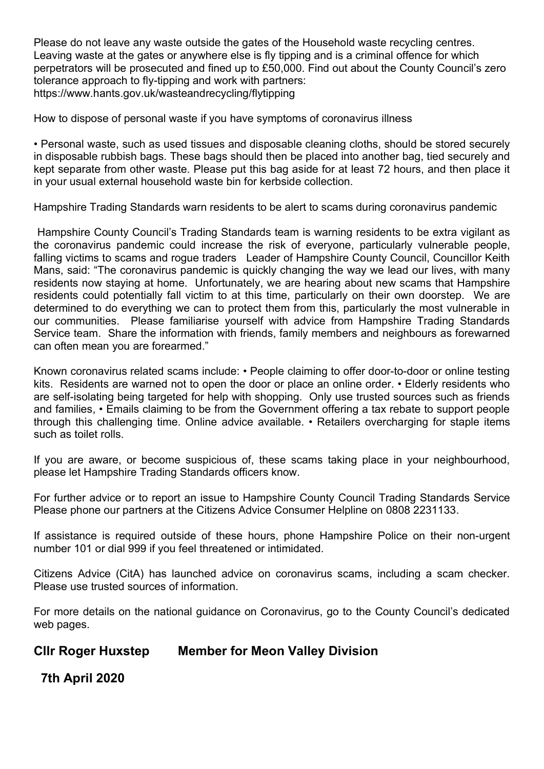Please do not leave any waste outside the gates of the Household waste recycling centres. Leaving waste at the gates or anywhere else is fly tipping and is a criminal offence for which perpetrators will be prosecuted and fined up to £50,000. Find out about the County Council's zero tolerance approach to fly-tipping and work with partners: https://www.hants.gov.uk/wasteandrecycling/flytipping

How to dispose of personal waste if you have symptoms of coronavirus illness

• Personal waste, such as used tissues and disposable cleaning cloths, should be stored securely in disposable rubbish bags. These bags should then be placed into another bag, tied securely and kept separate from other waste. Please put this bag aside for at least 72 hours, and then place it in your usual external household waste bin for kerbside collection.

Hampshire Trading Standards warn residents to be alert to scams during coronavirus pandemic

 Hampshire County Council's Trading Standards team is warning residents to be extra vigilant as the coronavirus pandemic could increase the risk of everyone, particularly vulnerable people, falling victims to scams and rogue traders Leader of Hampshire County Council, Councillor Keith Mans, said: "The coronavirus pandemic is quickly changing the way we lead our lives, with many residents now staying at home. Unfortunately, we are hearing about new scams that Hampshire residents could potentially fall victim to at this time, particularly on their own doorstep. We are determined to do everything we can to protect them from this, particularly the most vulnerable in our communities. Please familiarise yourself with advice from Hampshire Trading Standards Service team. Share the information with friends, family members and neighbours as forewarned can often mean you are forearmed."

Known coronavirus related scams include: • People claiming to offer door-to-door or online testing kits. Residents are warned not to open the door or place an online order. • Elderly residents who are self-isolating being targeted for help with shopping. Only use trusted sources such as friends and families, • Emails claiming to be from the Government offering a tax rebate to support people through this challenging time. Online advice available. • Retailers overcharging for staple items such as toilet rolls.

If you are aware, or become suspicious of, these scams taking place in your neighbourhood, please let Hampshire Trading Standards officers know.

For further advice or to report an issue to Hampshire County Council Trading Standards Service Please phone our partners at the Citizens Advice Consumer Helpline on 0808 2231133.

If assistance is required outside of these hours, phone Hampshire Police on their non-urgent number 101 or dial 999 if you feel threatened or intimidated.

Citizens Advice (CitA) has launched advice on coronavirus scams, including a scam checker. Please use trusted sources of information.

For more details on the national guidance on Coronavirus, go to the County Council's dedicated web pages.

# Cllr Roger Huxstep Member for Meon Valley Division

7th April 2020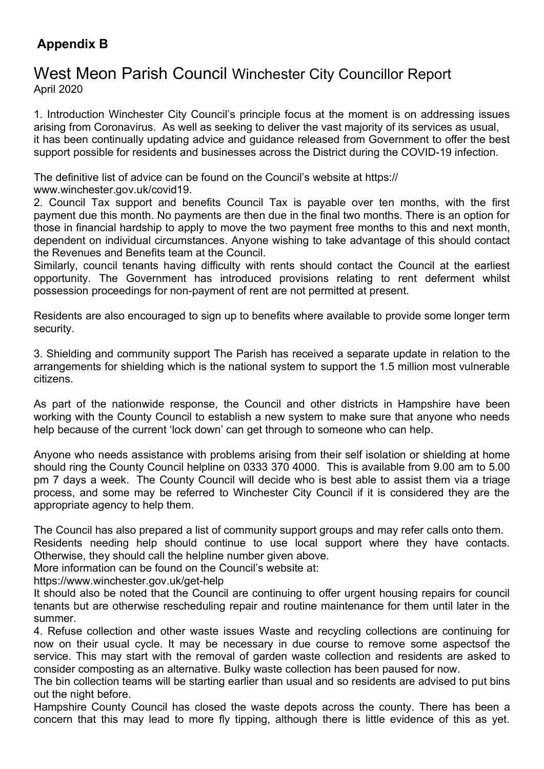# Appendix B

# West Meon Parish Council Winchester City Councillor Report April 2020

1. Introduction Winchester City Council's principle focus at the moment is on addressing issues arising from Coronavirus. As well as seeking to deliver the vast majority of its services as usual, it has been continually updating advice and guidance released from Government to offer the best support possible for residents and businesses across the District during the COVID-19 infection.

The definitive list of advice can be found on the Council's website at https:// www.winchester.gov.uk/covid19.

2. Council Tax support and benefits Council Tax is payable over ten months, with the first payment due this month. No payments are then due in the final two months. There is an option for those in financial hardship to apply to move the two payment free months to this and next month, dependent on individual circumstances. Anyone wishing to take advantage of this should contact the Revenues and Benefits team at the Council.

Similarly, council tenants having difficulty with rents should contact the Council at the earliest opportunity. The Government has introduced provisions relating to rent deferment whilst possession proceedings for non-payment of rent are not permitted at present.

Residents are also encouraged to sign up to benefits where available to provide some longer term security.

3. Shielding and community support The Parish has received a separate update in relation to the arrangements for shielding which is the national system to support the 1.5 million most vulnerable citizens.

As part of the nationwide response, the Council and other districts in Hampshire have been working with the County Council to establish a new system to make sure that anyone who needs help because of the current 'lock down' can get through to someone who can help.

Anyone who needs assistance with problems arising from their self isolation or shielding at home should ring the County Council helpline on 0333 370 4000. This is available from 9.00 am to 5.00 pm 7 days a week. The County Council will decide who is best able to assist them via a triage process, and some may be referred to Winchester City Council if it is considered they are the appropriate agency to help them.

The Council has also prepared a list of community support groups and may refer calls onto them. Residents needing help should continue to use local support where they have contacts.

Otherwise, they should call the helpline number given above.

More information can be found on the Council's website at:

https://www.winchester.gov.uk/get-help

It should also be noted that the Council are continuing to offer urgent housing repairs for council tenants but are otherwise rescheduling repair and routine maintenance for them until later in the summer.

4. Refuse collection and other waste issues Waste and recycling collections are continuing for now on their usual cycle. It may be necessary in due course to remove some aspectsof the service. This may start with the removal of garden waste collection and residents are asked to consider composting as an alternative. Bulky waste collection has been paused for now.

The bin collection teams will be starting earlier than usual and so residents are advised to put bins out the night before.

Hampshire County Council has closed the waste depots across the county. There has been a concern that this may lead to more fly tipping, although there is little evidence of this as yet.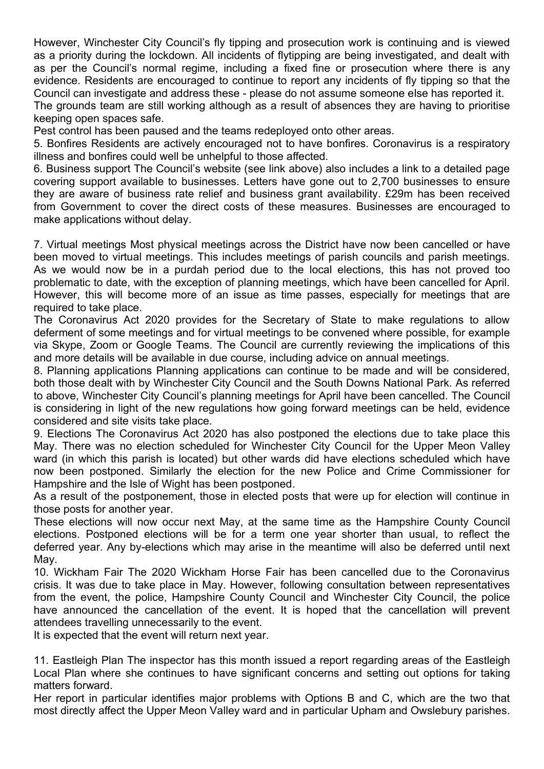However, Winchester City Council's fly tipping and prosecution work is continuing and is viewed as a priority during the lockdown. All incidents of flytipping are being investigated, and dealt with as per the Council's normal regime, including a fixed fine or prosecution where there is any evidence. Residents are encouraged to continue to report any incidents of fly tipping so that the Council can investigate and address these - please do not assume someone else has reported it. The grounds team are still working although as a result of absences they are having to prioritise keeping open spaces safe.

Pest control has been paused and the teams redeployed onto other areas.

5. Bonfires Residents are actively encouraged not to have bonfires. Coronavirus is a respiratory illness and bonfires could well be unhelpful to those affected.

6. Business support The Council's website (see link above) also includes a link to a detailed page covering support available to businesses. Letters have gone out to 2,700 businesses to ensure they are aware of business rate relief and business grant availability. £29m has been received from Government to cover the direct costs of these measures. Businesses are encouraged to make applications without delay.

7. Virtual meetings Most physical meetings across the District have now been cancelled or have been moved to virtual meetings. This includes meetings of parish councils and parish meetings. As we would now be in a purdah period due to the local elections, this has not proved too problematic to date, with the exception of planning meetings, which have been cancelled for April. However, this will become more of an issue as time passes, especially for meetings that are required to take place.

The Coronavirus Act 2020 provides for the Secretary of State to make regulations to allow deferment of some meetings and for virtual meetings to be convened where possible, for example via Skype, Zoom or Google Teams. The Council are currently reviewing the implications of this and more details will be available in due course, including advice on annual meetings.

8. Planning applications Planning applications can continue to be made and will be considered, both those dealt with by Winchester City Council and the South Downs National Park. As referred to above, Winchester City Council's planning meetings for April have been cancelled. The Council is considering in light of the new regulations how going forward meetings can be held, evidence considered and site visits take place.

9. Elections The Coronavirus Act 2020 has also postponed the elections due to take place this May. There was no election scheduled for Winchester City Council for the Upper Meon Valley ward (in which this parish is located) but other wards did have elections scheduled which have now been postponed. Similarly the election for the new Police and Crime Commissioner for Hampshire and the Isle of Wight has been postponed.

As a result of the postponement, those in elected posts that were up for election will continue in those posts for another year.

These elections will now occur next May, at the same time as the Hampshire County Council elections. Postponed elections will be for a term one year shorter than usual, to reflect the deferred year. Any by-elections which may arise in the meantime will also be deferred until next May.

10. Wickham Fair The 2020 Wickham Horse Fair has been cancelled due to the Coronavirus crisis. It was due to take place in May. However, following consultation between representatives from the event, the police, Hampshire County Council and Winchester City Council, the police have announced the cancellation of the event. It is hoped that the cancellation will prevent attendees travelling unnecessarily to the event.

It is expected that the event will return next year.

11. Eastleigh Plan The inspector has this month issued a report regarding areas of the Eastleigh Local Plan where she continues to have significant concerns and setting out options for taking matters forward.

Her report in particular identifies major problems with Options B and C, which are the two that most directly affect the Upper Meon Valley ward and in particular Upham and Owslebury parishes.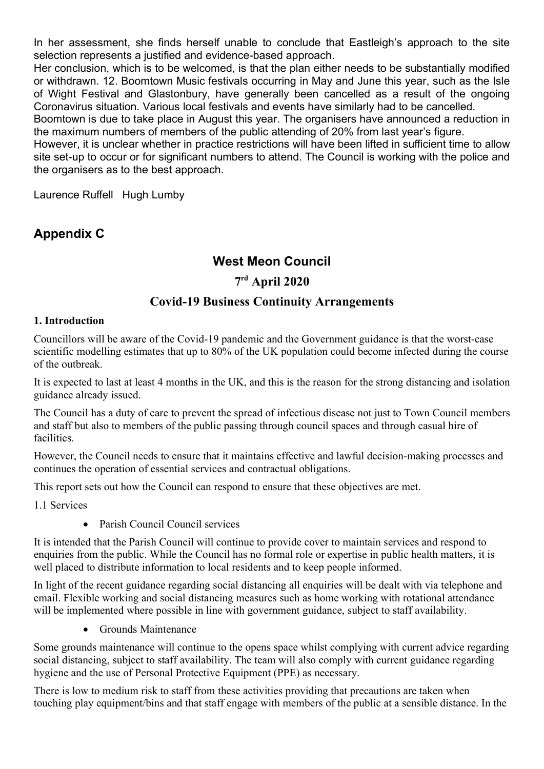In her assessment, she finds herself unable to conclude that Eastleigh's approach to the site selection represents a justified and evidence-based approach.

Her conclusion, which is to be welcomed, is that the plan either needs to be substantially modified or withdrawn. 12. Boomtown Music festivals occurring in May and June this year, such as the Isle of Wight Festival and Glastonbury, have generally been cancelled as a result of the ongoing Coronavirus situation. Various local festivals and events have similarly had to be cancelled.

Boomtown is due to take place in August this year. The organisers have announced a reduction in the maximum numbers of members of the public attending of 20% from last year's figure.

However, it is unclear whether in practice restrictions will have been lifted in sufficient time to allow site set-up to occur or for significant numbers to attend. The Council is working with the police and the organisers as to the best approach.

Laurence Ruffell Hugh Lumby

# Appendix C

# West Meon Council

# 7 rd April 2020

# Covid-19 Business Continuity Arrangements

#### 1. Introduction

Councillors will be aware of the Covid-19 pandemic and the Government guidance is that the worst-case scientific modelling estimates that up to 80% of the UK population could become infected during the course of the outbreak.

It is expected to last at least 4 months in the UK, and this is the reason for the strong distancing and isolation guidance already issued.

The Council has a duty of care to prevent the spread of infectious disease not just to Town Council members and staff but also to members of the public passing through council spaces and through casual hire of facilities.

However, the Council needs to ensure that it maintains effective and lawful decision-making processes and continues the operation of essential services and contractual obligations.

This report sets out how the Council can respond to ensure that these objectives are met.

1.1 Services

Parish Council Council services

It is intended that the Parish Council will continue to provide cover to maintain services and respond to enquiries from the public. While the Council has no formal role or expertise in public health matters, it is well placed to distribute information to local residents and to keep people informed.

In light of the recent guidance regarding social distancing all enquiries will be dealt with via telephone and email. Flexible working and social distancing measures such as home working with rotational attendance will be implemented where possible in line with government guidance, subject to staff availability.

• Grounds Maintenance

Some grounds maintenance will continue to the opens space whilst complying with current advice regarding social distancing, subject to staff availability. The team will also comply with current guidance regarding hygiene and the use of Personal Protective Equipment (PPE) as necessary.

There is low to medium risk to staff from these activities providing that precautions are taken when touching play equipment/bins and that staff engage with members of the public at a sensible distance. In the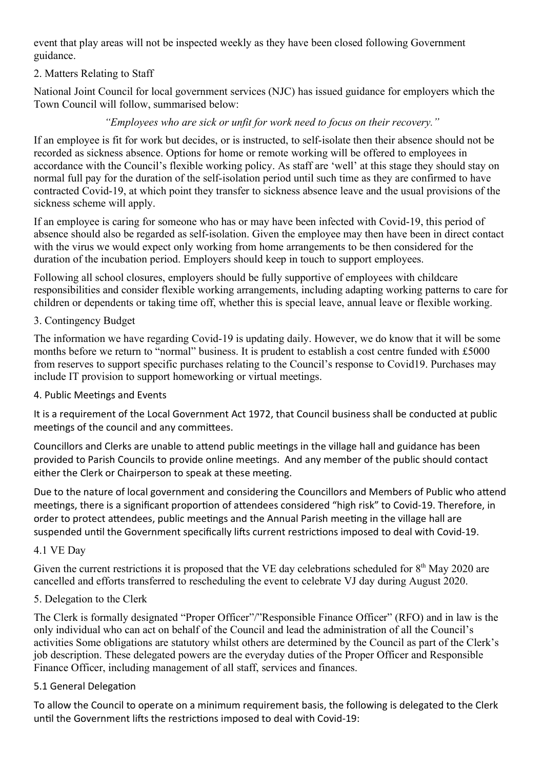event that play areas will not be inspected weekly as they have been closed following Government guidance.

# 2. Matters Relating to Staff

National Joint Council for local government services (NJC) has issued guidance for employers which the Town Council will follow, summarised below:

### "Employees who are sick or unfit for work need to focus on their recovery."

If an employee is fit for work but decides, or is instructed, to self-isolate then their absence should not be recorded as sickness absence. Options for home or remote working will be offered to employees in accordance with the Council's flexible working policy. As staff are 'well' at this stage they should stay on normal full pay for the duration of the self-isolation period until such time as they are confirmed to have contracted Covid-19, at which point they transfer to sickness absence leave and the usual provisions of the sickness scheme will apply.

If an employee is caring for someone who has or may have been infected with Covid-19, this period of absence should also be regarded as self-isolation. Given the employee may then have been in direct contact with the virus we would expect only working from home arrangements to be then considered for the duration of the incubation period. Employers should keep in touch to support employees.

Following all school closures, employers should be fully supportive of employees with childcare responsibilities and consider flexible working arrangements, including adapting working patterns to care for children or dependents or taking time off, whether this is special leave, annual leave or flexible working.

### 3. Contingency Budget

The information we have regarding Covid-19 is updating daily. However, we do know that it will be some months before we return to "normal" business. It is prudent to establish a cost centre funded with £5000 from reserves to support specific purchases relating to the Council's response to Covid19. Purchases may include IT provision to support homeworking or virtual meetings.

### 4. Public Meetings and Events

It is a requirement of the Local Government Act 1972, that Council business shall be conducted at public meetings of the council and any committees.

Councillors and Clerks are unable to attend public meetings in the village hall and guidance has been provided to Parish Councils to provide online meetings. And any member of the public should contact either the Clerk or Chairperson to speak at these meeting.

Due to the nature of local government and considering the Councillors and Members of Public who attend meetings, there is a significant proportion of attendees considered "high risk" to Covid-19. Therefore, in order to protect attendees, public meetings and the Annual Parish meeting in the village hall are suspended until the Government specifically lifts current restrictions imposed to deal with Covid-19.

### 4.1 VE Day

Given the current restrictions it is proposed that the VE day celebrations scheduled for  $8<sup>th</sup>$  May 2020 are cancelled and efforts transferred to rescheduling the event to celebrate VJ day during August 2020.

# 5. Delegation to the Clerk

The Clerk is formally designated "Proper Officer"/"Responsible Finance Officer" (RFO) and in law is the only individual who can act on behalf of the Council and lead the administration of all the Council's activities Some obligations are statutory whilst others are determined by the Council as part of the Clerk's job description. These delegated powers are the everyday duties of the Proper Officer and Responsible Finance Officer, including management of all staff, services and finances.

### 5.1 General Delegation

To allow the Council to operate on a minimum requirement basis, the following is delegated to the Clerk until the Government lifts the restrictions imposed to deal with Covid-19: